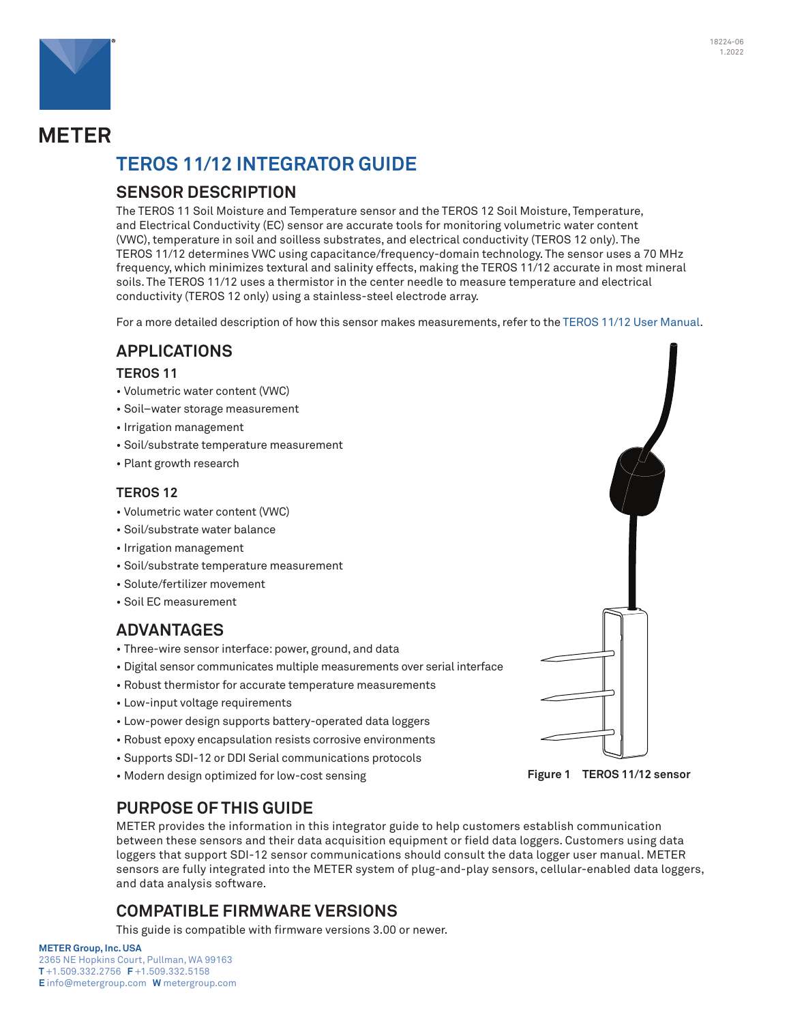

# **METER**

# **TEROS 11/12 Integrator Guide**

## **SENSOR DESCRIPTION**

The TEROS 11 Soil Moisture and Temperature sensor and the TEROS 12 Soil Moisture, Temperature, and Electrical Conductivity (EC) sensor are accurate tools for monitoring volumetric water content (VWC), temperature in soil and soilless substrates, and electrical conductivity (TEROS 12 only). The TEROS 11/12 determines VWC using capacitance/frequency-domain technology. The sensor uses a 70 MHz frequency, which minimizes textural and salinity effects, making the TEROS 11/12 accurate in most mineral soils. The TEROS 11/12 uses a thermistor in the center needle to measure temperature and electrical conductivity (TEROS 12 only) using a stainless-steel electrode array.

For a more detailed description of how this sensor makes measurements, refer to the [TEROS 11/12 User Manual.](https://www.metergroup.com/teros12-support)

## **APPLICATIONS**

### **TEROS 11**

- Volumetric water content (VWC)
- Soil–water storage measurement
- Irrigation management
- Soil/substrate temperature measurement
- Plant growth research

### **TEROS 12**

- Volumetric water content (VWC)
- Soil/substrate water balance
- Irrigation management
- Soil/substrate temperature measurement
- Solute/fertilizer movement
- Soil EC measurement

## **ADVANTAGES**

- Three-wire sensor interface: power, ground, and data
- Digital sensor communicates multiple measurements over serial interface
- Robust thermistor for accurate temperature measurements
- Low-input voltage requirements
- Low-power design supports battery-operated data loggers
- Robust epoxy encapsulation resists corrosive environments
- Supports SDI-12 or DDI Serial communications protocols
- Modern design optimized for low-cost sensing

## **PURPOSE OF THIS GUIDE**

METER provides the information in this integrator guide to help customers establish communication between these sensors and their data acquisition equipment or field data loggers. Customers using data loggers that support SDI-12 sensor communications should consult the data logger user manual. METER sensors are fully integrated into the METER system of plug-and-play sensors, cellular-enabled data loggers, and data analysis software.

## **COMPATIBLE FIRMWARE VERSIONS**

This guide is compatible with firmware versions 3.00 or newer.

#### **METER Group, Inc. USA**





**Figure 1 TEROS 11/12 sensor**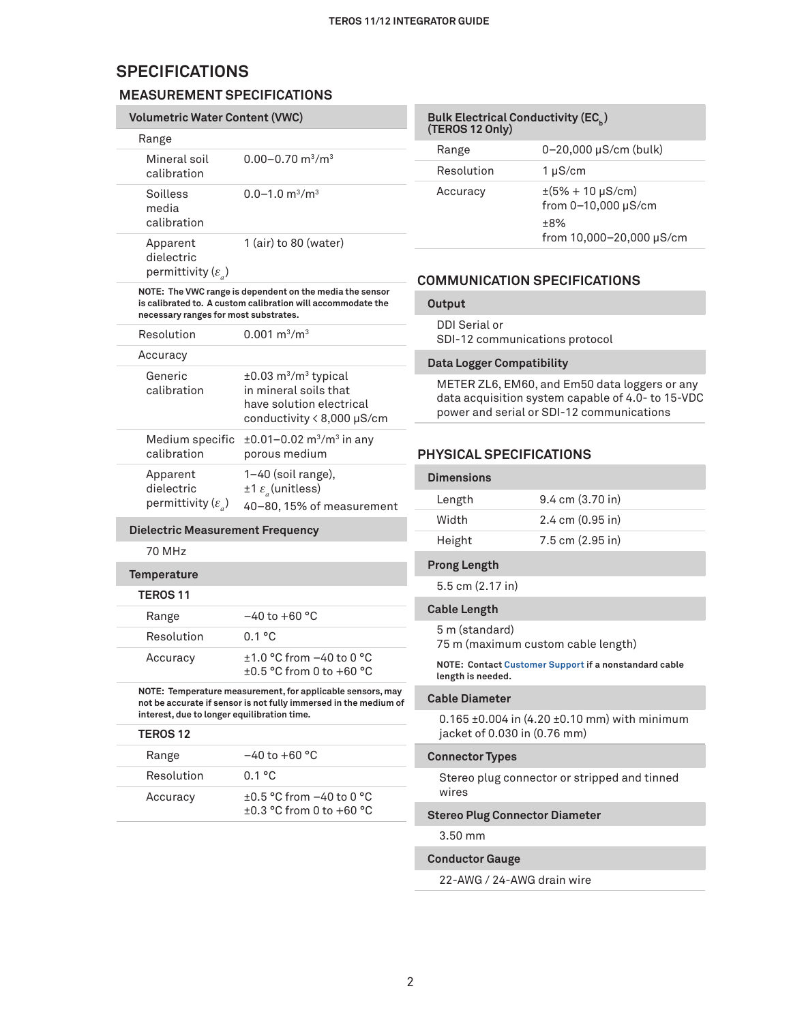## **SPECIFICATIONS**

### **MEASUREMENT SPECIFICATIONS**

| <b>Volumetric Water Content (VWC)</b>                      |                                                                                                                                   |
|------------------------------------------------------------|-----------------------------------------------------------------------------------------------------------------------------------|
| Range                                                      |                                                                                                                                   |
| Mineral soil<br>calibration                                | $0.00 - 0.70$ m <sup>3</sup> /m <sup>3</sup>                                                                                      |
| Soilless<br>media<br>calibration                           | $0.0 - 1.0$ m <sup>3</sup> /m <sup>3</sup>                                                                                        |
| Apparent<br>dielectric<br>permittivity $(\varepsilon_a)$   | 1 (air) to 80 (water)                                                                                                             |
| necessary ranges for most substrates.                      | NOTE: The VWC range is dependent on the media the sensor<br>is calibrated to. A custom calibration will accommodate the           |
| Resolution                                                 | $0.001 \text{ m}^3/\text{m}^3$                                                                                                    |
| Accuracy                                                   |                                                                                                                                   |
| Generic<br>calibration                                     | $±0.03$ m <sup>3</sup> /m <sup>3</sup> typical<br>in mineral soils that<br>have solution electrical<br>conductivity < 8,000 µS/cm |
| Medium specific<br>calibration                             | $\pm 0.01 - 0.02$ m <sup>3</sup> /m <sup>3</sup> in any<br>porous medium                                                          |
| Apparent<br>dielectric<br>permittivity ( $\varepsilon_a$ ) | 1-40 (soil range),<br>$±1 \varepsilon$ (unitless)<br>40-80, 15% of measurement                                                    |
| <b>Dielectric Measurement Frequency</b>                    |                                                                                                                                   |
| 70 MHz                                                     |                                                                                                                                   |
| Temperature                                                |                                                                                                                                   |
| <b>TEROS 11</b>                                            |                                                                                                                                   |
| Range                                                      | $-40$ to $+60$ °C                                                                                                                 |
| Resolution                                                 | 0.1 °C                                                                                                                            |
| Accuracy                                                   | $\pm$ 1.0 °C from -40 to 0 °C<br>±0.5 °C from 0 to +60 °C                                                                         |
| interest, due to longer equilibration time.                | NOTE: Temperature measurement, for applicable sensors, may<br>not be accurate if sensor is not fully immersed in the medium of    |
| <b>TEROS 12</b>                                            |                                                                                                                                   |
| Range                                                      | –40 to +60 °C                                                                                                                     |
| Resolution                                                 | 0.1 °C                                                                                                                            |
| Accuracy                                                   | ±0.5 °C from -40 to 0 °C<br>±0.3 °C from 0 to +60 °C                                                                              |

| <b>Bulk Electrical Conductivity (EC)</b><br>(TEROS 12 Only) |                                                                                               |  |
|-------------------------------------------------------------|-----------------------------------------------------------------------------------------------|--|
| Range                                                       | 0-20,000 µS/cm (bulk)                                                                         |  |
| Resolution                                                  | $1 \mu S/cm$                                                                                  |  |
| Accuracy                                                    | $\pm(5\% + 10 \,\mu\text{S/cm})$<br>from 0-10,000 µS/cm<br>$+8\%$<br>from 10,000-20,000 µS/cm |  |

#### **COMMUNICATION SPECIFICATIONS**

## **Output**

DDI Serial or SDI-12 communications protocol

#### **Data Logger Compatibility**

METER ZL6, EM60, and Em50 data loggers or any data acquisition system capable of 4.0- to 15-VDC power and serial or SDI-12 communications

### **PHYSICAL SPECIFICATIONS**

| <b>Dimensions</b> |                                     |
|-------------------|-------------------------------------|
| Length            | $9.4 \text{ cm } (3.70 \text{ in})$ |
| Width             | $2.4 \text{ cm} (0.95 \text{ in})$  |
| Height            | $7.5$ cm $(2.95)$ in                |

### **Prong Length**

5.5 cm (2.17 in)

#### **Cable Length**

5 m (standard) 75 m (maximum custom cable length)

#### **NOTE: Contact [Customer Support](#page-13-0) if a nonstandard cable length is needed.**

#### **Cable Diameter**

0.165 ±0.004 in (4.20 ±0.10 mm) with minimum jacket of 0.030 in (0.76 mm)

#### **Connector Types**

Stereo plug connector or stripped and tinned wires

#### **Stereo Plug Connector Diameter**

3.50 mm

#### **Conductor Gauge**

22-AWG / 24-AWG drain wire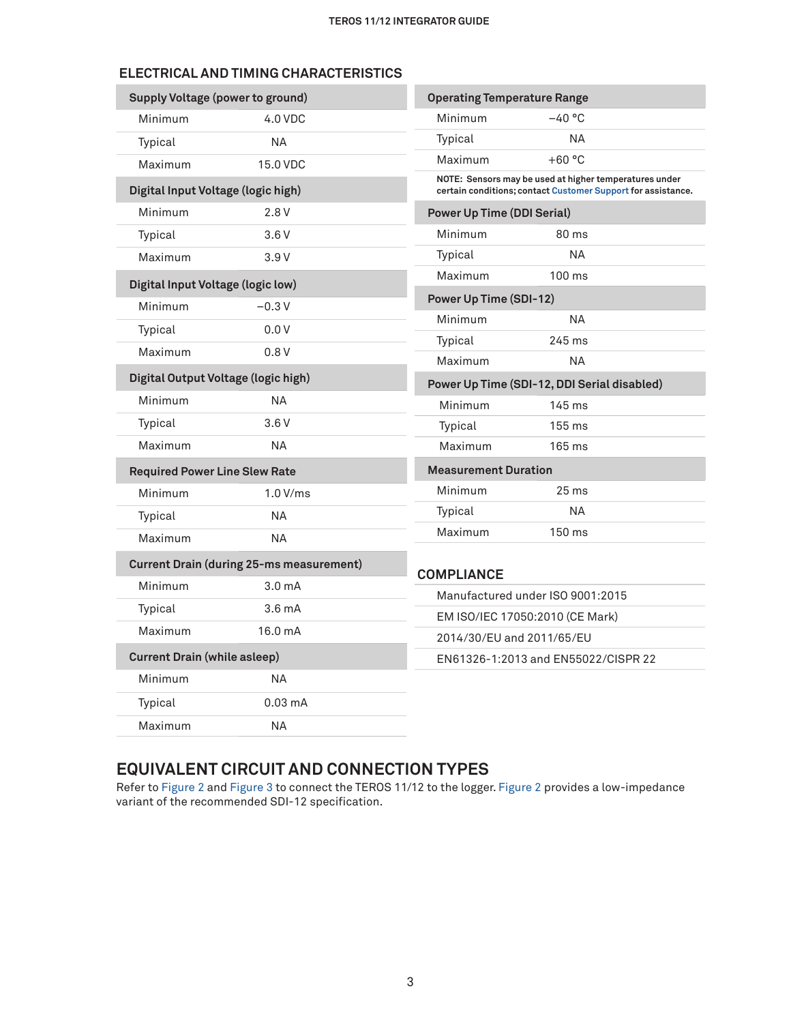## **ELECTRICAL AND TIMING CHARACTERISTICS**

| <b>Supply Voltage (power to ground)</b>         |                    | <b>Operating Temperature Range</b>          |                                                                                                                        |
|-------------------------------------------------|--------------------|---------------------------------------------|------------------------------------------------------------------------------------------------------------------------|
| Minimum                                         | 4.0 VDC            | Minimum                                     | $-40$ °C                                                                                                               |
| Typical                                         | <b>NA</b>          | Typical                                     | NA.                                                                                                                    |
| Maximum                                         | 15.0 VDC           | Maximum                                     | $+60 °C$                                                                                                               |
| Digital Input Voltage (logic high)              |                    |                                             | NOTE: Sensors may be used at higher temperatures under<br>certain conditions; contact Customer Support for assistance. |
| Minimum                                         | 2.8V               | <b>Power Up Time (DDI Serial)</b>           |                                                                                                                        |
| Typical                                         | 3.6V               | Minimum                                     | 80 ms                                                                                                                  |
| Maximum                                         | 3.9V               | Typical                                     | NА                                                                                                                     |
| Digital Input Voltage (logic low)               |                    | Maximum                                     | $100 \text{ ms}$                                                                                                       |
| Minimum                                         | $-0.3V$            | <b>Power Up Time (SDI-12)</b>               |                                                                                                                        |
| Typical                                         | 0.0V               | Minimum                                     | <b>NA</b>                                                                                                              |
| Maximum                                         | 0.8V               | Typical                                     | 245 ms                                                                                                                 |
|                                                 |                    | Maximum                                     | <b>NA</b>                                                                                                              |
| Digital Output Voltage (logic high)             |                    | Power Up Time (SDI-12, DDI Serial disabled) |                                                                                                                        |
| Minimum                                         | NΑ                 | Minimum                                     | $145 \text{ ms}$                                                                                                       |
| Typical                                         | 3.6V               | Typical                                     | 155 ms                                                                                                                 |
| Maximum                                         | NА                 | Maximum                                     | $165 \text{ ms}$                                                                                                       |
| <b>Required Power Line Slew Rate</b>            |                    | <b>Measurement Duration</b>                 |                                                                                                                        |
| Minimum                                         | 1.0 V/ms           | Minimum                                     | $25 \text{ ms}$                                                                                                        |
| Typical                                         | <b>NA</b>          | Typical                                     | NA.                                                                                                                    |
| Maximum                                         | NA.                | Maximum                                     | 150 ms                                                                                                                 |
| <b>Current Drain (during 25-ms measurement)</b> |                    | <b>COMPLIANCE</b>                           |                                                                                                                        |
| Minimum                                         | 3.0 <sub>m</sub> A |                                             | Manufactured under ISO 9001:2015                                                                                       |
| Typical                                         | 3.6 <sub>mA</sub>  |                                             | EM ISO/IEC 17050:2010 (CE Mark)                                                                                        |
| Maximum                                         | 16.0 mA            | 2014/30/EU and 2011/65/EU                   |                                                                                                                        |
| <b>Current Drain (while asleep)</b>             |                    |                                             | EN61326-1:2013 and EN55022/CISPR 22                                                                                    |
| Minimum                                         | NΑ                 |                                             |                                                                                                                        |
| Typical                                         | $0.03 \text{ mA}$  |                                             |                                                                                                                        |
| Maximum                                         | <b>NA</b>          |                                             |                                                                                                                        |

## **EQUIVALENT CIRCUIT AND CONNECTION TYPES**

Refer to [Figure 2](#page-3-0) and [Figure 3](#page-3-1) to connect the TEROS 11/12 to the logger. [Figure 2](#page-3-0) provides a low-impedance variant of the recommended SDI-12 specification.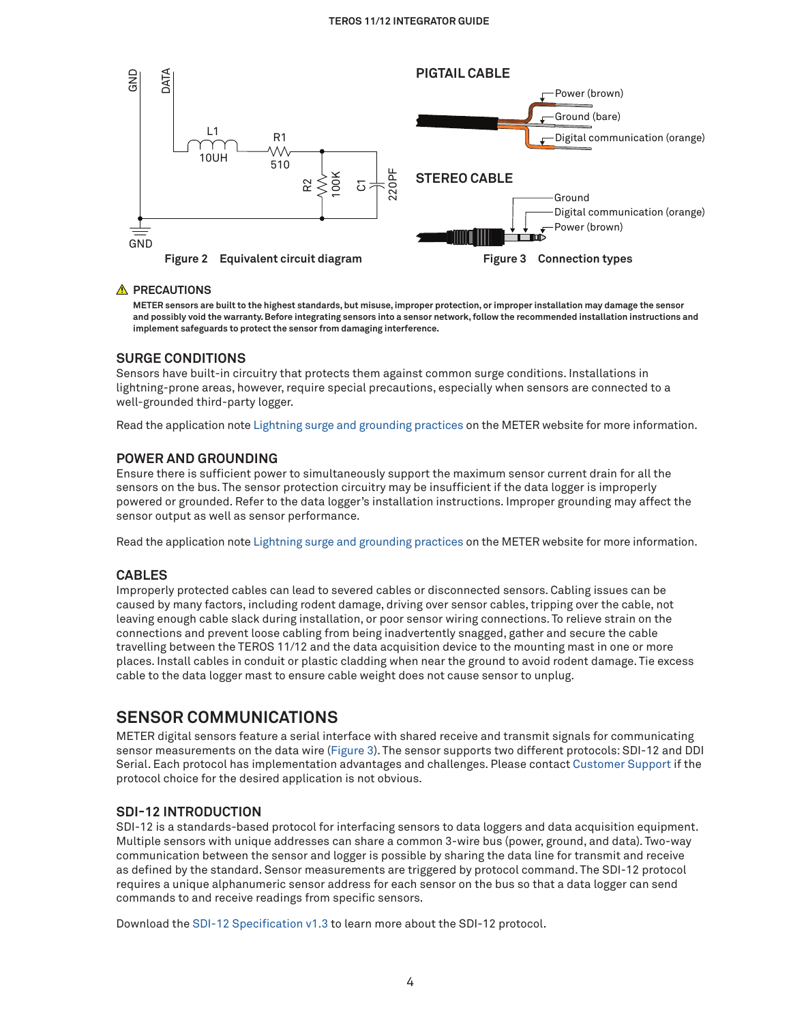

#### **A** PRECAUTIONS

<span id="page-3-1"></span><span id="page-3-0"></span>**METER sensors are built to the highest standards, but misuse, improper protection, or improper installation may damage the sensor and possibly void the warranty. Before integrating sensors into a sensor network, follow the recommended installation instructions and implement safeguards to protect the sensor from damaging interference.**

#### **SURGE CONDITIONS**

Sensors have built-in circuitry that protects them against common surge conditions. Installations in lightning-prone areas, however, require special precautions, especially when sensors are connected to a well-grounded third-party logger.

Read the application note [Lightning surge and grounding practices](https://publications.metergroup.com/Sales%20and%20Support/METER%20Environment/Website%20Articles/Lightning-surge-grounding-practices.pdf) on the METER website for more information.

#### **POWER AND GROUNDING**

Ensure there is sufficient power to simultaneously support the maximum sensor current drain for all the sensors on the bus. The sensor protection circuitry may be insufficient if the data logger is improperly powered or grounded. Refer to the data logger's installation instructions. Improper grounding may affect the sensor output as well as sensor performance.

Read the application note [Lightning surge and grounding practices](https://www.metergroup.com/meter_knowledgebase/lightning-surge-grounding-practices/) on the METER website for more information.

#### **CABLES**

Improperly protected cables can lead to severed cables or disconnected sensors. Cabling issues can be caused by many factors, including rodent damage, driving over sensor cables, tripping over the cable, not leaving enough cable slack during installation, or poor sensor wiring connections. To relieve strain on the connections and prevent loose cabling from being inadvertently snagged, gather and secure the cable travelling between the TEROS 11/12 and the data acquisition device to the mounting mast in one or more places. Install cables in conduit or plastic cladding when near the ground to avoid rodent damage. Tie excess cable to the data logger mast to ensure cable weight does not cause sensor to unplug.

### **SENSOR COMMUNICATIONS**

METER digital sensors feature a serial interface with shared receive and transmit signals for communicating sensor measurements on the data wire [\(Figure 3](#page-3-1)). The sensor supports two different protocols: SDI-12 and DDI Serial. Each protocol has implementation advantages and challenges. Please contact [Customer Support](#page-13-0) if the protocol choice for the desired application is not obvious.

#### **SDI-12 INTRODUCTION**

SDI-12 is a standards-based protocol for interfacing sensors to data loggers and data acquisition equipment. Multiple sensors with unique addresses can share a common 3-wire bus (power, ground, and data). Two-way communication between the sensor and logger is possible by sharing the data line for transmit and receive as defined by the standard. Sensor measurements are triggered by protocol command. The SDI-12 protocol requires a unique alphanumeric sensor address for each sensor on the bus so that a data logger can send commands to and receive readings from specific sensors.

Download the [SDI-12 Specification v1.3](https://www.sdi-12.org/archives_folder/SDI-12_version1_3%20January%2028,%202016.pdf) to learn more about the SDI-12 protocol.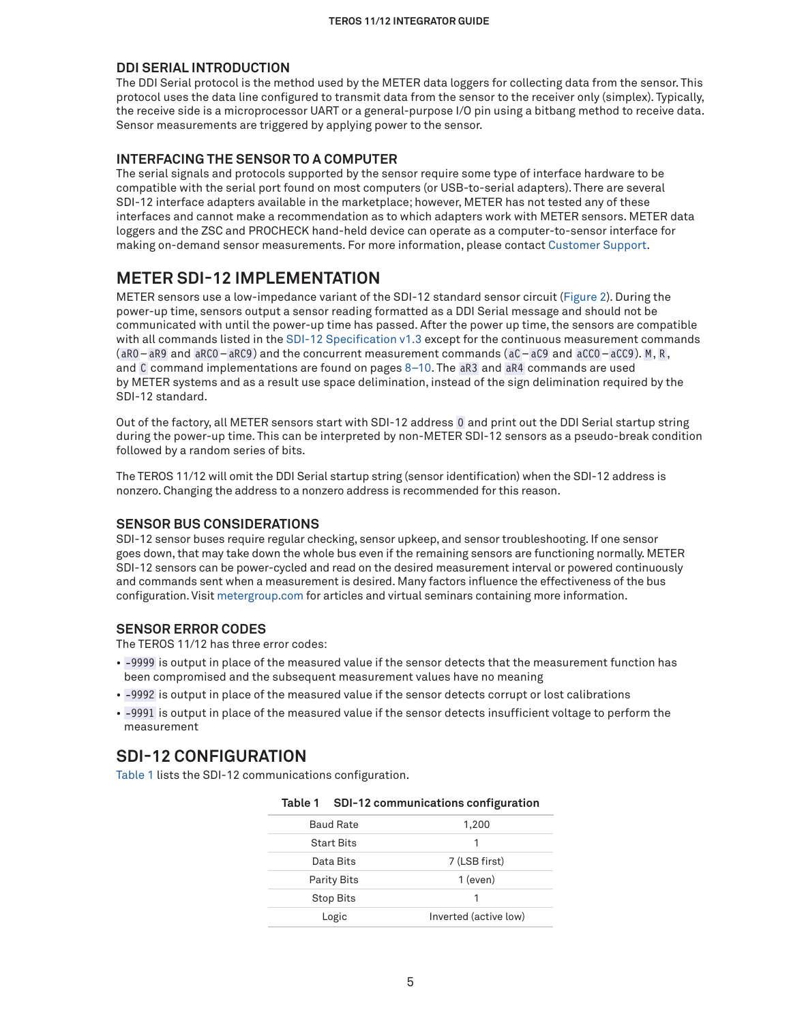#### **DDI SERIAL INTRODUCTION**

The DDI Serial protocol is the method used by the METER data loggers for collecting data from the sensor. This protocol uses the data line configured to transmit data from the sensor to the receiver only (simplex). Typically, the receive side is a microprocessor UART or a general-purpose I/O pin using a bitbang method to receive data. Sensor measurements are triggered by applying power to the sensor.

#### **INTERFACING THE SENSOR TO A COMPUTER**

The serial signals and protocols supported by the sensor require some type of interface hardware to be compatible with the serial port found on most computers (or USB-to-serial adapters). There are several SDI-12 interface adapters available in the marketplace; however, METER has not tested any of these interfaces and cannot make a recommendation as to which adapters work with METER sensors. METER data loggers and the ZSC and PROCHECK hand-held device can operate as a computer-to-sensor interface for making on-demand sensor measurements. For more information, please contact [Customer Support.](#page-13-0)

## <span id="page-4-1"></span>**METER SDI-12 IMPLEMENTATION**

METER sensors use a low-impedance variant of the SDI-12 standard sensor circuit [\(Figure 2\)](#page-3-0). During the power-up time, sensors output a sensor reading formatted as a DDI Serial message and should not be communicated with until the power-up time has passed. After the power up time, the sensors are compatible with all commands listed in the [SDI-12 Specification v1.3](https://www.sdi-12.org/archives_folder/SDI-12_version1_3%20January%2028,%202016.pdf) except for the continuous measurement commands  $(abc - aR9)$  and  $aRCO - aRC9)$  and the concurrent measurement commands  $(ac - aC9)$  and  $aCC0 - aC9)$ . M, R, and C command implementations are found on pages [8](#page-7-0)[–10.](#page-9-0) The aR3 and aR4 commands are used by METER systems and as a result use space delimination, instead of the sign delimination required by the SDI-12 standard.

Out of the factory, all METER sensors start with SDI-12 address 0 and print out the DDI Serial startup string during the power-up time. This can be interpreted by non-METER SDI-12 sensors as a pseudo-break condition followed by a random series of bits.

The TEROS 11/12 will omit the DDI Serial startup string (sensor identification) when the SDI-12 address is nonzero. Changing the address to a nonzero address is recommended for this reason.

#### **SENSOR BUS CONSIDERATIONS**

SDI-12 sensor buses require regular checking, sensor upkeep, and sensor troubleshooting. If one sensor goes down, that may take down the whole bus even if the remaining sensors are functioning normally. METER SDI-12 sensors can be power-cycled and read on the desired measurement interval or powered continuously and commands sent when a measurement is desired. Many factors influence the effectiveness of the bus configuration. Visit [metergroup.com](http://www.metergroup.com) for articles and virtual seminars containing more information.

#### **SENSOR ERROR CODES**

The TEROS 11/12 has three error codes:

- -9999 is output in place of the measured value if the sensor detects that the measurement function has been compromised and the subsequent measurement values have no meaning
- -9992 is output in place of the measured value if the sensor detects corrupt or lost calibrations
- -9991 is output in place of the measured value if the sensor detects insufficient voltage to perform the measurement

## **SDI-12 CONFIGURATION**

[Table 1](#page-4-0) lists the SDI-12 communications configuration.

| <b>Baud Rate</b>  | 1,200                 |
|-------------------|-----------------------|
| <b>Start Bits</b> | 1                     |
| Data Bits         | 7 (LSB first)         |
| Parity Bits       | $1$ (even)            |
| <b>Stop Bits</b>  |                       |
| Logic             | Inverted (active low) |

<span id="page-4-0"></span>

| Table 1 |  | SDI-12 communications configuration |  |
|---------|--|-------------------------------------|--|
|---------|--|-------------------------------------|--|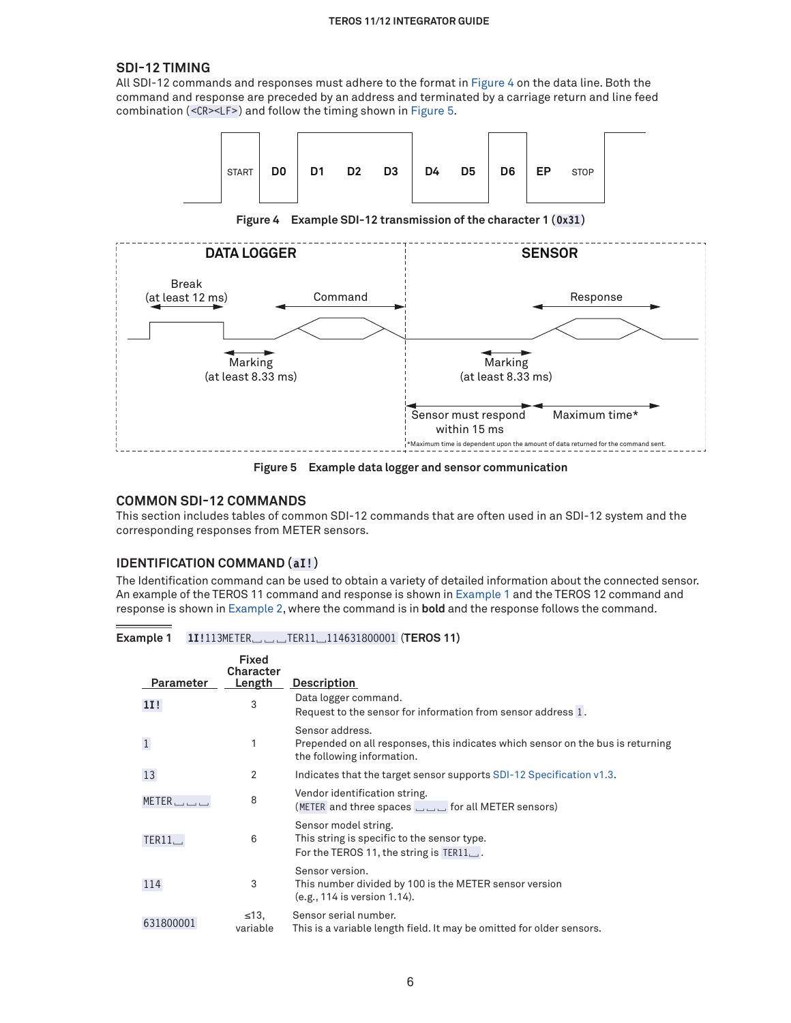#### **TEROS 11/12 Integrator Guide**

#### **SDI-12 TIMING**

All SDI-12 commands and responses must adhere to the format in [Figure 4](#page-5-0) on the data line. Both the command and response are preceded by an address and terminated by a carriage return and line feed combination (<CR><LF>) and follow the timing shown in [Figure 5](#page-5-1).



<span id="page-5-0"></span>**Figure 4 Example SDI-12 transmission of the character 1 (0x31)**



<span id="page-5-1"></span>**Figure 5 Example data logger and sensor communication**

#### **COMMON SDI-12 COMMANDS**

This section includes tables of common SDI-12 commands that are often used in an SDI-12 system and the corresponding responses from METER sensors.

#### **IDENTIFICATION COMMAND (aI!)**

The Identification command can be used to obtain a variety of detailed information about the connected sensor. An example of the TEROS 11 command and response is shown in [Example 1](#page-5-2) and the TEROS 12 command and response is shown in [Example 2,](#page-6-0) where the command is in **bold** and the response follows the command.

**Example 1 1I!**113METER␣␣␣TER11␣114631800001 (**TEROS 11)**

<span id="page-5-2"></span>

| Parameter | <b>Fixed</b><br>Character<br><u>Length</u> | <b>Description</b>                                                                                                               |
|-----------|--------------------------------------------|----------------------------------------------------------------------------------------------------------------------------------|
| 1I!       | 3                                          | Data logger command.<br>Request to the sensor for information from sensor address 1.                                             |
|           | 1                                          | Sensor address.<br>Prepended on all responses, this indicates which sensor on the bus is returning<br>the following information. |
| 13        | 2                                          | Indicates that the target sensor supports SDI-12 Specification v1.3.                                                             |
| METER     | 8                                          | Vendor identification string.<br>(METER and three spaces $\Box$ or all METER sensors)                                            |
| TER11.    | 6                                          | Sensor model string.<br>This string is specific to the sensor type.<br>For the TEROS 11, the string is $TER11$ .                 |
| 114       | 3                                          | Sensor version.<br>This number divided by 100 is the METER sensor version<br>(e.g., 114 is version 1.14).                        |
| 631800001 | $\leq$ 13,<br>variable                     | Sensor serial number.<br>This is a variable length field. It may be omitted for older sensors.                                   |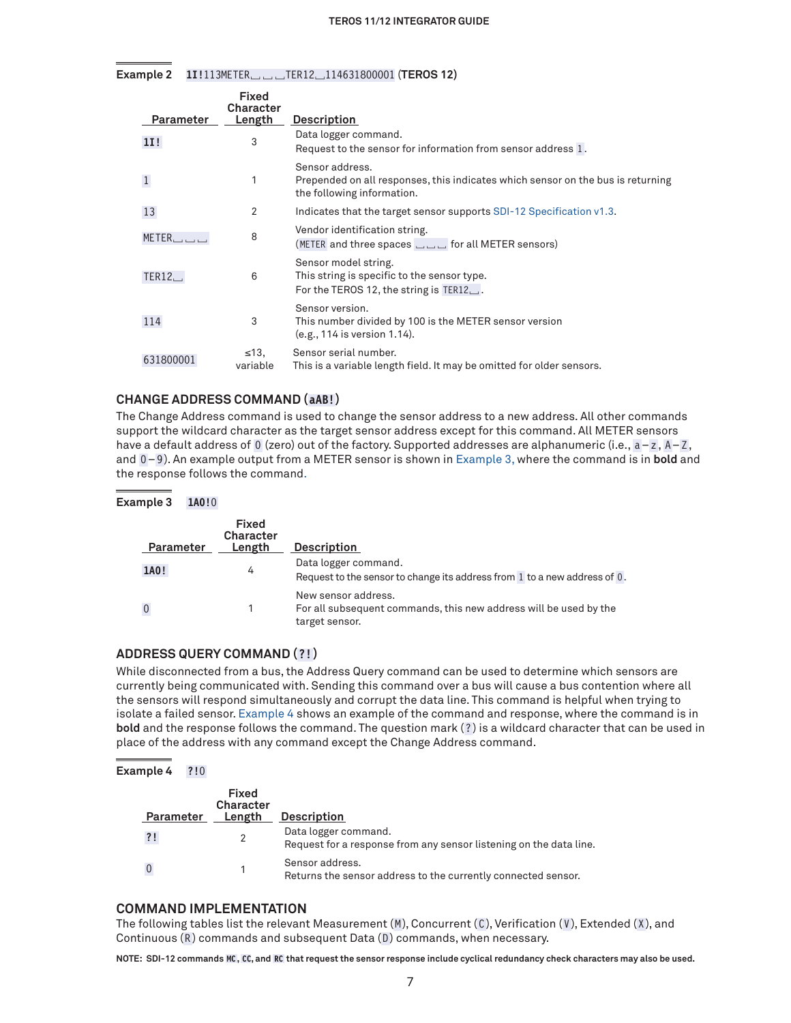**Example 2 1I!**113METER␣␣␣TER12␣114631800001 (**TEROS 12)**

<span id="page-6-0"></span>

| <b>Parameter</b>      | <b>Fixed</b><br><b>Character</b><br>Length | <b>Description</b>                                                                                                               |
|-----------------------|--------------------------------------------|----------------------------------------------------------------------------------------------------------------------------------|
| 11!                   | 3                                          | Data logger command.<br>Request to the sensor for information from sensor address 1.                                             |
|                       | 1                                          | Sensor address.<br>Prepended on all responses, this indicates which sensor on the bus is returning<br>the following information. |
| 13                    | 2                                          | Indicates that the target sensor supports SDI-12 Specification v1.3.                                                             |
| $METER$ $\Box$ $\Box$ | 8                                          | Vendor identification string.<br>(METER and three spaces $\Box$ $\Box$ for all METER sensors)                                    |
| TER12.                | 6                                          | Sensor model string.<br>This string is specific to the sensor type.<br>For the TEROS 12, the string is $TER12$ .                 |
| 114                   | 3                                          | Sensor version.<br>This number divided by 100 is the METER sensor version<br>(e.g., 114 is version 1.14).                        |
| 631800001             | $\leq 13$ .<br>variable                    | Sensor serial number.<br>This is a variable length field. It may be omitted for older sensors.                                   |

#### **CHANGE ADDRESS COMMAND (aAB!)**

The Change Address command is used to change the sensor address to a new address. All other commands support the wildcard character as the target sensor address except for this command. All METER sensors have a default address of 0 (zero) out of the factory. Supported addresses are alphanumeric (i.e., a-z, A-Z, and 0-9). An example output from a METER sensor is shown in [Example 3](#page-6-1), where the command is in **bold** and the response follows the command.

| Example 3 | 1A0!0 |            |
|-----------|-------|------------|
|           |       | italian al |

<span id="page-6-1"></span>

| Parameter | Fixed<br><b>Character</b><br>Length | <b>Description</b>                                                                                         |
|-----------|-------------------------------------|------------------------------------------------------------------------------------------------------------|
| 1A0!      | 4                                   | Data logger command.<br>Request to the sensor to change its address from 1 to a new address of 0.          |
|           |                                     | New sensor address.<br>For all subsequent commands, this new address will be used by the<br>target sensor. |

#### **ADDRESS QUERY COMMAND (?!)**

While disconnected from a bus, the Address Query command can be used to determine which sensors are currently being communicated with. Sending this command over a bus will cause a bus contention where all the sensors will respond simultaneously and corrupt the data line. This command is helpful when trying to isolate a failed sensor. [Example 4](#page-6-2) shows an example of the command and response, where the command is in **bold** and the response follows the command. The question mark (?) is a wildcard character that can be used in place of the address with any command except the Change Address command.

#### **Example 4 ?!**0

<span id="page-6-2"></span>

| Parameter | Fixed<br>Character<br>Length | <b>Description</b>                                                                         |
|-----------|------------------------------|--------------------------------------------------------------------------------------------|
| ?!        |                              | Data logger command.<br>Request for a response from any sensor listening on the data line. |
|           |                              | Sensor address.<br>Returns the sensor address to the currently connected sensor.           |

#### **COMMAND IMPLEMENTATION**

The following tables list the relevant Measurement  $(M)$ , Concurrent  $(C)$ , Verification  $(V)$ , Extended  $(X)$ , and Continuous (R) commands and subsequent Data (D) commands, when necessary.

**NOTE: SDI-12 commands MC, CC, and RC that request the sensor response include cyclical redundancy check characters may also be used.**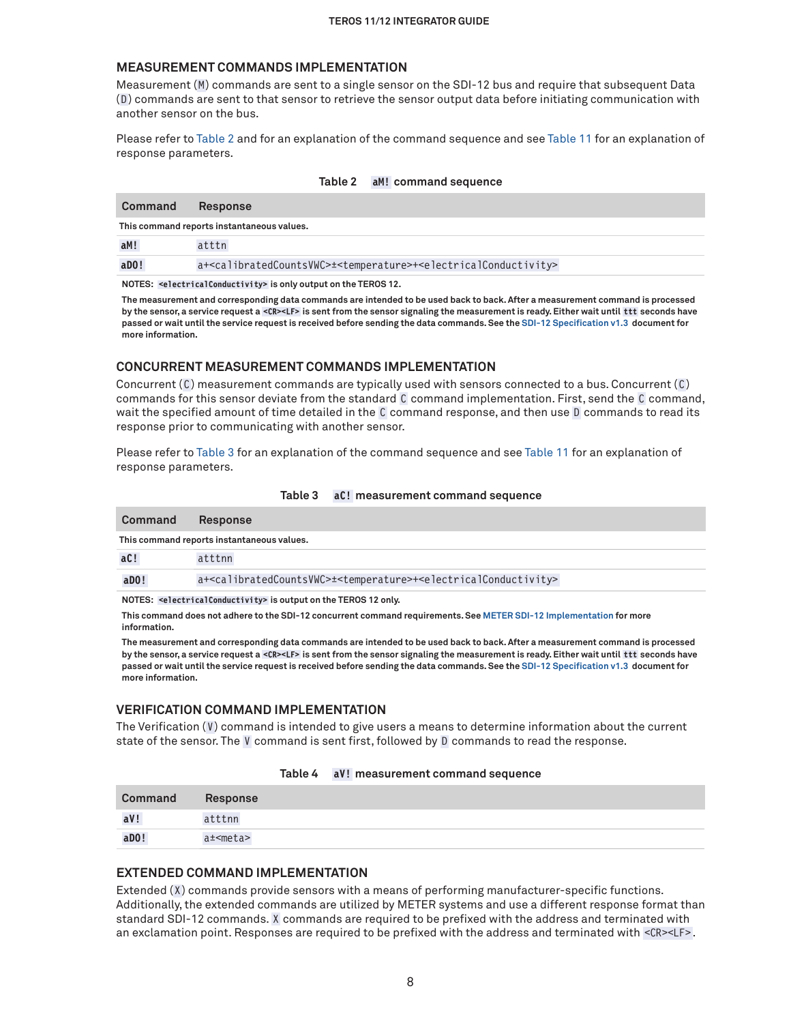#### <span id="page-7-0"></span>**MEASUREMENT COMMANDS IMPLEMENTATION**

Measurement (M) commands are sent to a single sensor on the SDI-12 bus and require that subsequent Data (D ) commands are sent to that sensor to retrieve the sensor output data before initiating communication with another sensor on the bus.

Please refer to [Table 2](#page-7-1) and for an explanation of the command sequence and see [Table 11](#page-9-1) for an explanation of response parameters.

#### <span id="page-7-1"></span>**Table 2 aM! command sequence**

| Command               | <b>Response</b>                                                                                                              |
|-----------------------|------------------------------------------------------------------------------------------------------------------------------|
|                       | This command reports instantaneous values.                                                                                   |
| aM!                   | atttn                                                                                                                        |
| $a$ <sub>D</sub> $0!$ | a+ <calibratedcountsvwc>±<temperature>+<electricalconductivity></electricalconductivity></temperature></calibratedcountsvwc> |

**NOTES: <electricalConductivity> is only output on the TEROS 12.**

**The measurement and corresponding data commands are intended to be used back to back. After a measurement command is processed by the sensor, a service request a <CR><LF> is sent from the sensor signaling the measurement is ready. Either wait until ttt seconds have passed or wait until the service request is received before sending the data commands. See the [SDI-12 Specification v1.3](https://www.sdi-12.org/archives_folder/SDI-12_version1_3%20January%2028,%202016.pdf) document for more information.**

#### **CONCURRENT MEASUREMENT COMMANDS IMPLEMENTATION**

Concurrent (C) measurement commands are typically used with sensors connected to a bus. Concurrent (C) commands for this sensor deviate from the standard C command implementation. First, send the C command, wait the specified amount of time detailed in the C command response, and then use D commands to read its response prior to communicating with another sensor.

Please refer to [Table 3](#page-7-2) for an explanation of the command sequence and see [Table 11](#page-9-1) for an explanation of response parameters.

| Command                                                         | <b>Response</b>                                                                                                              |  |
|-----------------------------------------------------------------|------------------------------------------------------------------------------------------------------------------------------|--|
|                                                                 | This command reports instantaneous values.                                                                                   |  |
| aC!                                                             | atttnn                                                                                                                       |  |
| $a$ <sub>D</sub> $0!$                                           | a+ <calibratedcountsvwc>±<temperature>+<electricalconductivity></electricalconductivity></temperature></calibratedcountsvwc> |  |
| NOTES: selectrical Conductivity> is output on the TEROS 12 only |                                                                                                                              |  |

#### <span id="page-7-2"></span>**Table 3 aC! measurement command sequence**

**NOTES: <electricalConductivity> is output on the TEROS 12 only.**

**This command does not adhere to the SDI-12 concurrent command requirements. See [METER SDI-12 Implementation](#page-4-1) for more information.**

**The measurement and corresponding data commands are intended to be used back to back. After a measurement command is processed by the sensor, a service request a <CR><LF> is sent from the sensor signaling the measurement is ready. Either wait until ttt seconds have passed or wait until the service request is received before sending the data commands. See the [SDI-12 Specification v1.3](https://sdi-12.org/archives_folder/SDI-12_version1_3%20January%2028,%202016.pdf) document for more information.**

#### **VERIFICATION COMMAND IMPLEMENTATION**

The Verification  $(V)$  command is intended to give users a means to determine information about the current state of the sensor. The V command is sent first, followed by D commands to read the response.

| Table 4 |  | aV! measurement command sequence |  |
|---------|--|----------------------------------|--|
|---------|--|----------------------------------|--|

| <b>Command</b> | Response   |
|----------------|------------|
| aV!            | atttnn     |
| aD0!           | a± <meta/> |

#### **EXTENDED COMMAND IMPLEMENTATION**

Extended (X) commands provide sensors with a means of performing manufacturer-specific functions. Additionally, the extended commands are utilized by METER systems and use a different response format than standard SDI-12 commands. X commands are required to be prefixed with the address and terminated with an exclamation point. Responses are required to be prefixed with the address and terminated with <CR><LF>.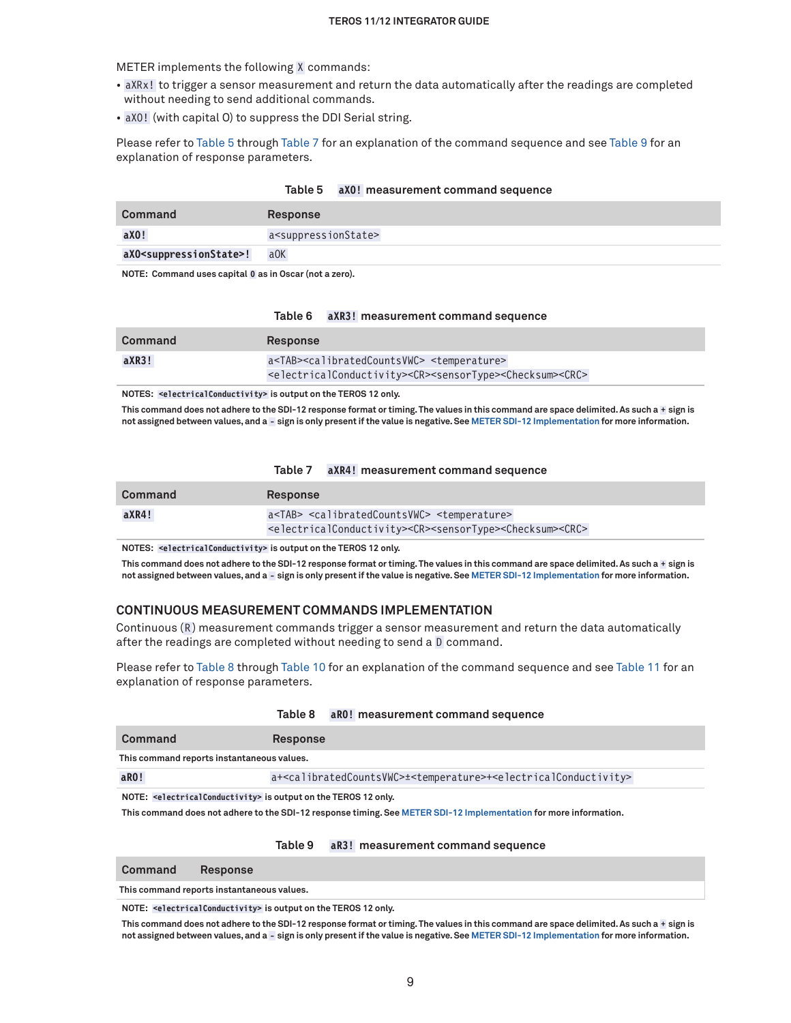METER implements the following X commands:

- aXRx! to trigger a sensor measurement and return the data automatically after the readings are completed without needing to send additional commands.
- aXO! (with capital O) to suppress the DDI Serial string.

Please refer to [Table 5](#page-8-0) through [Table 7](#page-8-1) for an explanation of the command sequence and see Table 9 for an explanation of response parameters.

<span id="page-8-0"></span>

| Table 5 |  | aX0! measurement command sequence |  |  |
|---------|--|-----------------------------------|--|--|
|---------|--|-----------------------------------|--|--|

| Command                                    | <b>Response</b>                         |
|--------------------------------------------|-----------------------------------------|
| aX0!                                       | a <suppressionstate></suppressionstate> |
| aXO <suppressionstate>!</suppressionstate> | a0K                                     |

**NOTE: Command uses capital O as in Oscar (not a zero).**

#### **Table 6 aXR3! measurement command sequence**

| Command | <b>Response</b>                                                                                                     |  |
|---------|---------------------------------------------------------------------------------------------------------------------|--|
| aXR3!   | a <tab><calibratedcountsvwc> <temperature></temperature></calibratedcountsvwc></tab>                                |  |
|         | <electricalconductivity><cr><sensortype><checksum><crc></crc></checksum></sensortype></cr></electricalconductivity> |  |

**NOTES: <electricalConductivity> is output on the TEROS 12 only.**

**This command does not adhere to the SDI-12 response format or timing. The values in this command are space delimited. As such a + sign is not assigned between values, and a - sign is only present if the value is negative. See [METER SDI-12 Implementation](#page-4-1) for more information.**

<span id="page-8-1"></span>**Table 7 aXR4! measurement command sequence**

| Command | <b>Response</b>                                                                                                                                                                                               |
|---------|---------------------------------------------------------------------------------------------------------------------------------------------------------------------------------------------------------------|
| aXR4!   | a <tab> <calibratedcountsvwc> <temperature><br/><electricalconductivity><cr><sensortype><checksum><crc></crc></checksum></sensortype></cr></electricalconductivity></temperature></calibratedcountsvwc></tab> |
|         |                                                                                                                                                                                                               |

**NOTES: <electricalConductivity> is output on the TEROS 12 only.**

**This command does not adhere to the SDI-12 response format or timing. The values in this command are space delimited. As such a + sign is not assigned between values, and a - sign is only present if the value is negative. See [METER SDI-12 Implementation](#page-4-1) for more information.**

#### **CONTINUOUS MEASUREMENT COMMANDS IMPLEMENTATION**

Continuous (R) measurement commands trigger a sensor measurement and return the data automatically after the readings are completed without needing to send a D command.

Please refer to [Table 8](#page-8-2) through [Table 10](#page-9-0) for an explanation of the command sequence and see [Table 11](#page-9-1) for an explanation of response parameters.

|                                                                                         | Table 8 aR0! measurement command sequence                                                                                    |  |
|-----------------------------------------------------------------------------------------|------------------------------------------------------------------------------------------------------------------------------|--|
| Command                                                                                 | <b>Response</b>                                                                                                              |  |
| This command reports instantaneous values.                                              |                                                                                                                              |  |
| $a$ RO!                                                                                 | a+ <calibratedcountsvwc>±<temperature>+<electricalconductivity></electricalconductivity></temperature></calibratedcountsvwc> |  |
| NOTE: <electricalconductivity> is output on the TEROS 12 only.</electricalconductivity> |                                                                                                                              |  |

**This command does not adhere to the SDI-12 response timing. See [METER SDI-12 Implementation](#page-4-1) for more information.**

#### <span id="page-8-2"></span>**Table 9 aR3! measurement command sequence**

| <b>Command</b> | <b>Response</b> |
|----------------|-----------------|
|----------------|-----------------|

**This command reports instantaneous values.** 

**NOTE: <electricalConductivity> is output on the TEROS 12 only.**

**This command does not adhere to the SDI-12 response format or timing. The values in this command are space delimited. As such a + sign is not assigned between values, and a - sign is only present if the value is negative. See [METER SDI-12 Implementation](#page-4-1) for more information.**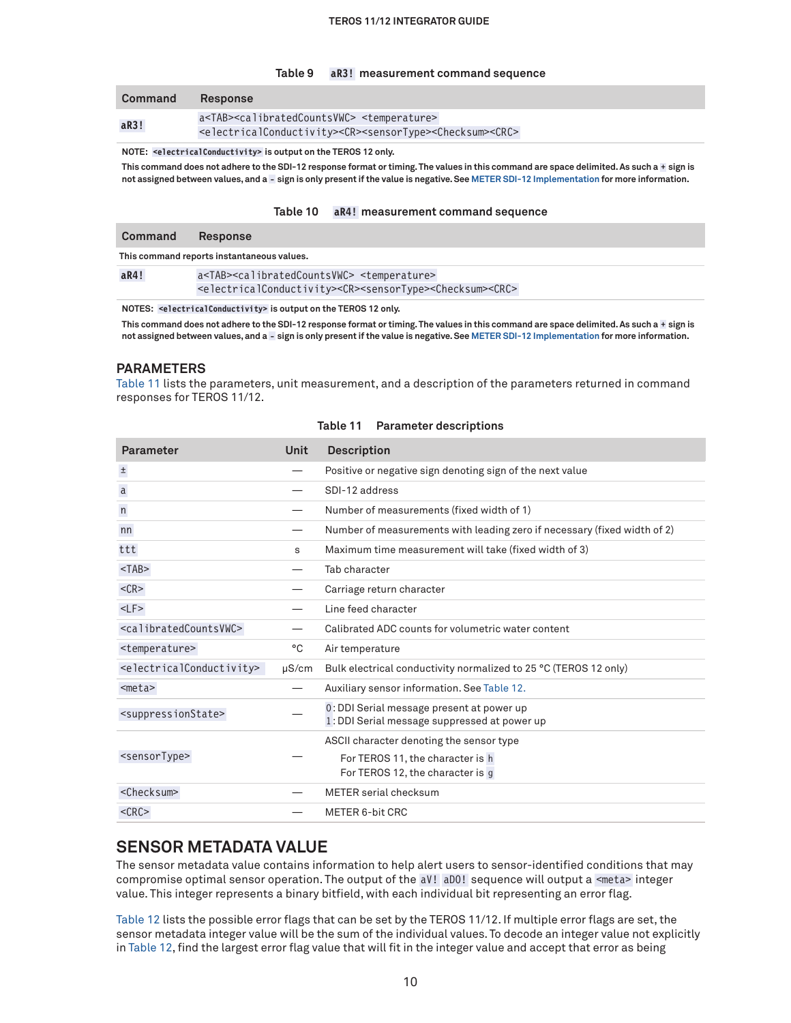#### **Table 9 aR3! measurement command sequence**

| Command | <b>Response</b>                                                                                                                                                                                              |
|---------|--------------------------------------------------------------------------------------------------------------------------------------------------------------------------------------------------------------|
| aR3!    | a <tab><calibratedcountsvwc> <temperature><br/><electricalconductivity><cr><sensortype><checksum><crc></crc></checksum></sensortype></cr></electricalconductivity></temperature></calibratedcountsvwc></tab> |

**NOTE: <electricalConductivity> is output on the TEROS 12 only.**

This command does not adhere to the SDI-12 response format or timing. The values in this command are space delimited. As such a + sign is **not assigned between values, and a - sign is only present if the value is negative. See [METER SDI-12 Implementation](#page-4-1) for more information.**

#### <span id="page-9-0"></span>**Table 10 aR4! measurement command sequence**

| Command | <b>Response</b>                                                                                                                                                                                              |
|---------|--------------------------------------------------------------------------------------------------------------------------------------------------------------------------------------------------------------|
|         | This command reports instantaneous values.                                                                                                                                                                   |
| aR4!    | a <tab><calibratedcountsvwc> <temperature><br/><electricalconductivity><cr><sensortype><checksum><crc></crc></checksum></sensortype></cr></electricalconductivity></temperature></calibratedcountsvwc></tab> |

**NOTES: <electricalConductivity> is output on the TEROS 12 only.**

This command does not adhere to the SDI-12 response format or timing. The values in this command are space delimited. As such a + sign is **not assigned between values, and a - sign is only present if the value is negative. See [METER SDI-12 Implementation](#page-4-1) for more information.**

#### **PARAMETERS**

[Table 11](#page-9-1) lists the parameters, unit measurement, and a description of the parameters returned in command responses for TEROS 11/12.

| Parameter                                         | <b>Unit</b> | <b>Description</b>                                                                        |
|---------------------------------------------------|-------------|-------------------------------------------------------------------------------------------|
| $\pm$                                             |             | Positive or negative sign denoting sign of the next value                                 |
| $\mathsf{a}$                                      |             | SDI-12 address                                                                            |
| n                                                 |             | Number of measurements (fixed width of 1)                                                 |
| nn                                                |             | Number of measurements with leading zero if necessary (fixed width of 2)                  |
| ttt                                               | s           | Maximum time measurement will take (fixed width of 3)                                     |
| $<$ TAB $>$                                       |             | Tab character                                                                             |
| $<$ CR $>$                                        |             | Carriage return character                                                                 |
| $<$ LF $>$                                        |             | Line feed character                                                                       |
| <calibratedcountsvwc></calibratedcountsvwc>       |             | Calibrated ADC counts for volumetric water content                                        |
| <temperature></temperature>                       | °C          | Air temperature                                                                           |
| <electricalconductivity></electricalconductivity> | $\mu$ S/cm  | Bulk electrical conductivity normalized to 25 °C (TEROS 12 only)                          |
| $meta>$                                           |             | Auxiliary sensor information. See Table 12.                                               |
| <suppressionstate></suppressionstate>             |             | 0: DDI Serial message present at power up<br>1: DDI Serial message suppressed at power up |
|                                                   |             | ASCII character denoting the sensor type                                                  |
| <sensortype></sensortype>                         |             | For TEROS 11, the character is h<br>For TEROS 12, the character is g                      |
| <checksum></checksum>                             |             | METER serial checksum                                                                     |
| $<$ CRC $>$                                       |             | METER 6-bit CRC                                                                           |

#### <span id="page-9-1"></span>**Table 11 Parameter descriptions**

### **SENSOR METADATA VALUE**

The sensor metadata value contains information to help alert users to sensor-identified conditions that may compromise optimal sensor operation. The output of the aV! aD0! sequence will output a <meta> integer value. This integer represents a binary bitfield, with each individual bit representing an error flag.

[Table 12](#page-10-0) lists the possible error flags that can be set by the TEROS 11/12. If multiple error flags are set, the sensor metadata integer value will be the sum of the individual values. To decode an integer value not explicitly in [Table 12](#page-10-0), find the largest error flag value that will fit in the integer value and accept that error as being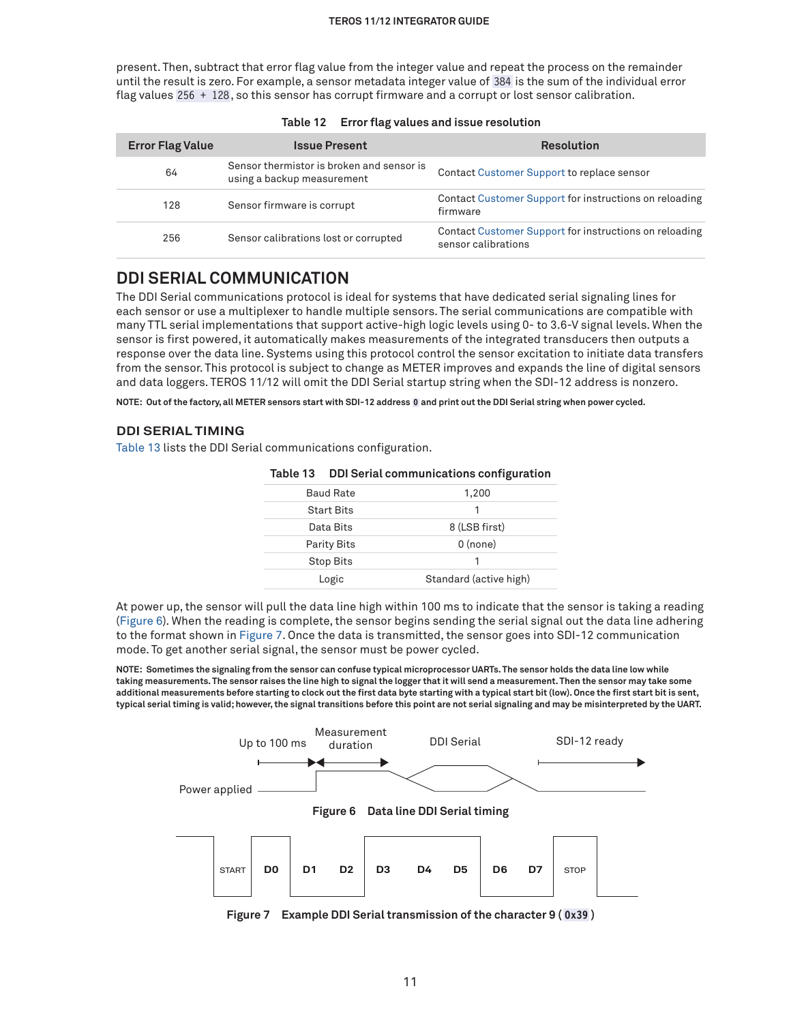present. Then, subtract that error flag value from the integer value and repeat the process on the remainder until the result is zero. For example, a sensor metadata integer value of 384 is the sum of the individual error flag values 256 + 128, so this sensor has corrupt firmware and a corrupt or lost sensor calibration.

| <b>Error Flag Value</b> | <b>Issue Present</b>                                                    | <b>Resolution</b>                                                             |
|-------------------------|-------------------------------------------------------------------------|-------------------------------------------------------------------------------|
| 64                      | Sensor thermistor is broken and sensor is<br>using a backup measurement | Contact Customer Support to replace sensor                                    |
| 128                     | Sensor firmware is corrupt                                              | Contact Customer Support for instructions on reloading<br>firmware            |
| 256                     | Sensor calibrations lost or corrupted                                   | Contact Customer Support for instructions on reloading<br>sensor calibrations |

<span id="page-10-0"></span>

| Error flag values and issue resolution | Table 12 |  |  |  |
|----------------------------------------|----------|--|--|--|
|----------------------------------------|----------|--|--|--|

## **DDI SERIAL COMMUNICATION**

The DDI Serial communications protocol is ideal for systems that have dedicated serial signaling lines for each sensor or use a multiplexer to handle multiple sensors. The serial communications are compatible with many TTL serial implementations that support active-high logic levels using 0- to 3.6-V signal levels. When the sensor is first powered, it automatically makes measurements of the integrated transducers then outputs a response over the data line. Systems using this protocol control the sensor excitation to initiate data transfers from the sensor. This protocol is subject to change as METER improves and expands the line of digital sensors and data loggers. TEROS 11/12 will omit the DDI Serial startup string when the SDI-12 address is nonzero.

**NOTE: Out of the factory, all METER sensors start with SDI-12 address 0 and print out the DDI Serial string when power cycled.**

#### **DDI SERIAL TIMING**

[Table 13](#page-10-1) lists the DDI Serial communications configuration.

|                    | rable 13 DDI Serial communications configuration |
|--------------------|--------------------------------------------------|
| <b>Baud Rate</b>   | 1,200                                            |
| <b>Start Bits</b>  |                                                  |
| Data Bits          | 8 (LSB first)                                    |
| <b>Parity Bits</b> | $0$ (none)                                       |
| <b>Stop Bits</b>   |                                                  |
| Logic              | Standard (active high)                           |

#### <span id="page-10-1"></span>**Table 13 DDI Serial communications configuration**

At power up, the sensor will pull the data line high within 100 ms to indicate that the sensor is taking a reading ([Figure 6\)](#page-10-2). When the reading is complete, the sensor begins sending the serial signal out the data line adhering to the format shown in [Figure 7.](#page-10-3) Once the data is transmitted, the sensor goes into SDI-12 communication mode. To get another serial signal, the sensor must be power cycled.

**NOTE: Sometimes the signaling from the sensor can confuse typical microprocessor UARTs. The sensor holds the data line low while taking measurements. The sensor raises the line high to signal the logger that it will send a measurement. Then the sensor may take some additional measurements before starting to clock out the first data byte starting with a typical start bit (low). Once the first start bit is sent, typical serial timing is valid; however, the signal transitions before this point are not serial signaling and may be misinterpreted by the UART.**



<span id="page-10-3"></span><span id="page-10-2"></span>**Figure 7 Example DDI Serial transmission of the character 9 ( 0x39 )**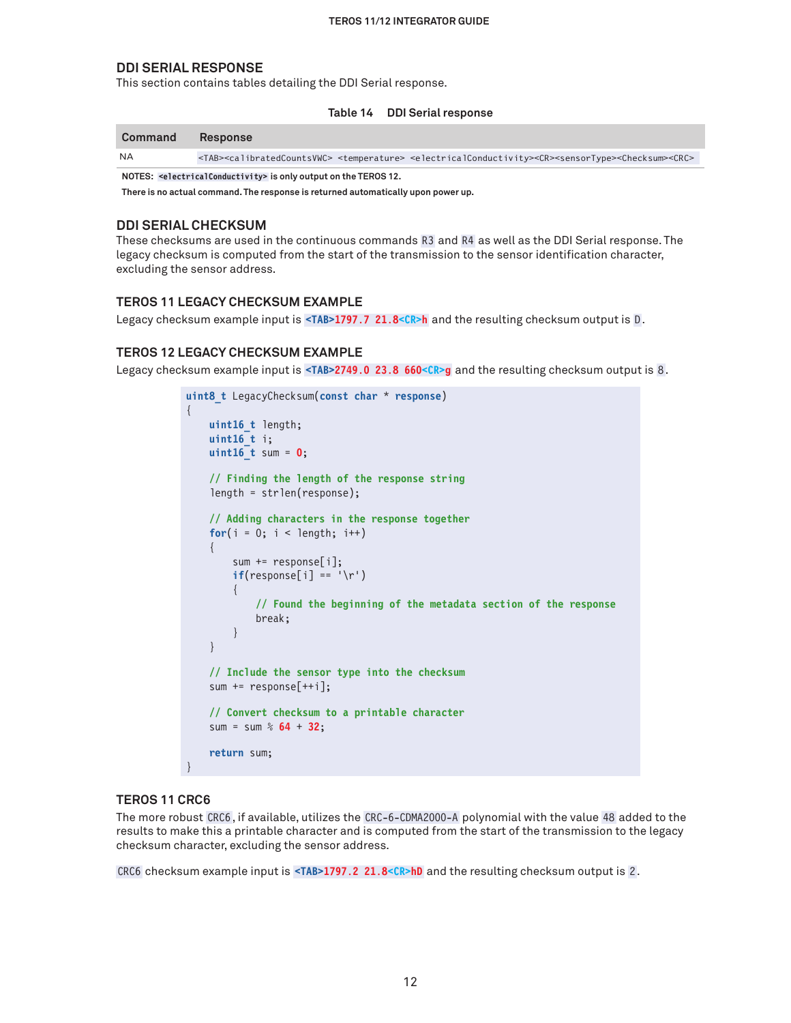#### **DDI SERIAL RESPONSE**

This section contains tables detailing the DDI Serial response.

| Table 14 | <b>DDI Serial response</b> |  |
|----------|----------------------------|--|
|----------|----------------------------|--|

| Command   | <b>Response</b>                                                                                                                                                                                        |
|-----------|--------------------------------------------------------------------------------------------------------------------------------------------------------------------------------------------------------|
| <b>NA</b> | <tab><calibratedcountsvwc> <temperature> <electricalconductivity><cr><sensortype><checksum><crc></crc></checksum></sensortype></cr></electricalconductivity></temperature></calibratedcountsvwc></tab> |

**NOTES: <electricalConductivity> is only output on the TEROS 12.**

**There is no actual command. The response is returned automatically upon power up.** 

#### **DDI SERIAL CHECKSUM**

These checksums are used in the continuous commands R3 and R4 as well as the DDI Serial response. The legacy checksum is computed from the start of the transmission to the sensor identification character, excluding the sensor address.

#### **TEROS 11 LEGACY CHECKSUM EXAMPLE**

Legacy checksum example input is <TAB>1797.7 21.8<CR>h and the resulting checksum output is D.

#### **TEROS 12 LEGACY CHECKSUM EXAMPLE**

Legacy checksum example input is <TAB>2749.0 23.8 660<CR>g and the resulting checksum output is 8.

```
uint8_t LegacyChecksum(const char * response)
{ 
     uint16_t length;
     uint16_t i;
     uint16_t sum = 0;
     // Finding the length of the response string
     length = strlen(response);
     // Adding characters in the response together
    for(i = 0; i < length; i++) {
         sum += response[i];
        if(responsible[i] == ' \r)
\left\{ \begin{array}{c} \end{array} \right. // Found the beginning of the metadata section of the response
              break;
 }
     }
     // Include the sensor type into the checksum
     sum += response[++i];
     // Convert checksum to a printable character
     sum = sum % 64 + 32;
     return sum;
}
```
#### **TEROS 11 CRC6**

The more robust CRC6, if available, utilizes the CRC-6-CDMA2000-A polynomial with the value 48 added to the results to make this a printable character and is computed from the start of the transmission to the legacy checksum character, excluding the sensor address.

CRC6 checksum example input is **<TAB>1797.2 21.8<CR>hD** and the resulting checksum output is 2 .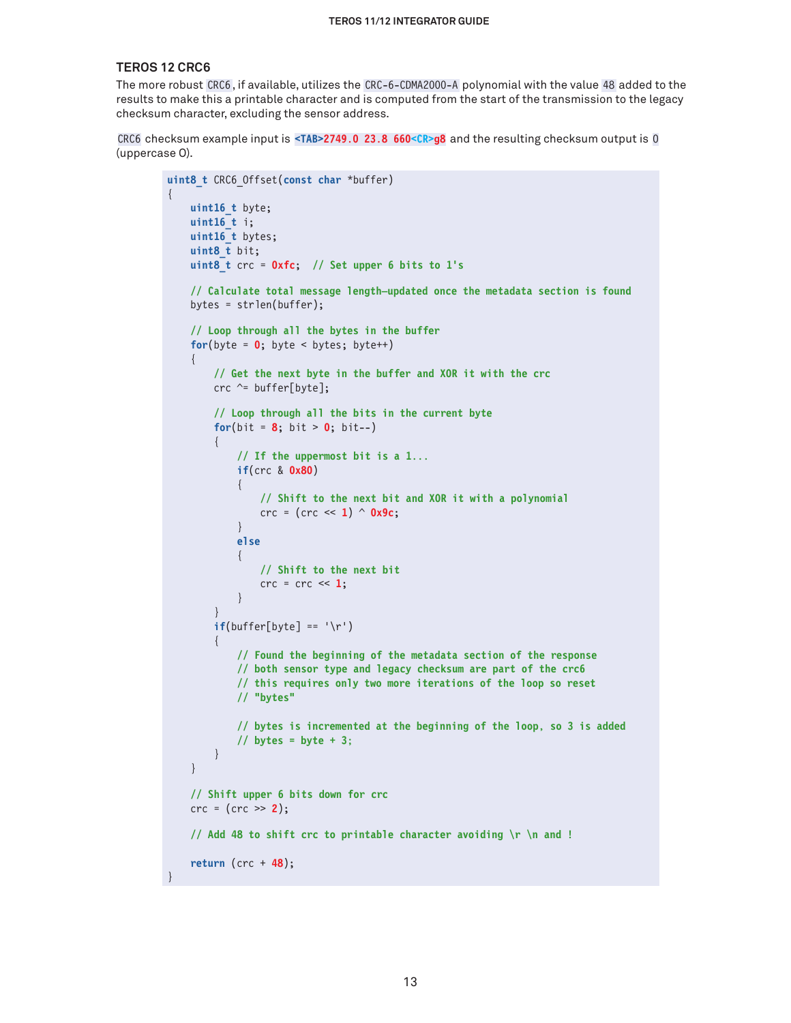#### **TEROS 12 CRC6**

{

}

The more robust CRC6, if available, utilizes the CRC-6-CDMA2000-A polynomial with the value 48 added to the results to make this a printable character and is computed from the start of the transmission to the legacy checksum character, excluding the sensor address.

CRC6 checksum example input is **<TAB>2749.0 23.8 660<CR>g8** and the resulting checksum output is O (uppercase O).

```
uint8_t CRC6_Offset(const char *buffer)
     uint16_t byte;
     uint16_t i;
    uint16 t bytes;
      uint8_t bit;
      uint8_t crc = 0xfc; // Set upper 6 bits to 1's
      // Calculate total message length—updated once the metadata section is found
      bytes = strlen(buffer);
      // Loop through all the bytes in the buffer
     for(byte = \mathbf{0}; byte < bytes; byte++)
      {
          // Get the next byte in the buffer and XOR it with the crc
         crc \texttt{~=} buffer[byte];
          // Loop through all the bits in the current byte
         for(bit = 8; bit > 0; bit--)
          {
               // If the uppermost bit is a 1...
               if(crc & 0x80)
{ } } } } } } { } } } } { } } } } { } } } } { } } } } { } } } } { } } } } { } } } } { } } } } { } } } } { } } } } { } } } } { } } } } { } } } } { } } } } { } } } } { } } } } { } } } } { } } } } { } } } } { } } } } { } } } 
                    // Shift to the next bit and XOR it with a polynomial
                    crc = (crc << 1) ^ 0x9c;
 }
               else
\{ // Shift to the next bit
                   \text{crc} = \text{crc} \ll 1;
 }
 }
         if(buffer[byte] == '\r') {
               // Found the beginning of the metadata section of the response
               // both sensor type and legacy checksum are part of the crc6
               // this requires only two more iterations of the loop so reset
               // "bytes"
               // bytes is incremented at the beginning of the loop, so 3 is added
               // bytes = byte + 3;
          }
      }
     // Shift upper 6 bits down for crc
     crc = (crc >> 2);
     // Add 48 to shift crc to printable character avoiding \r \n and !
     return (crc + 48);
```